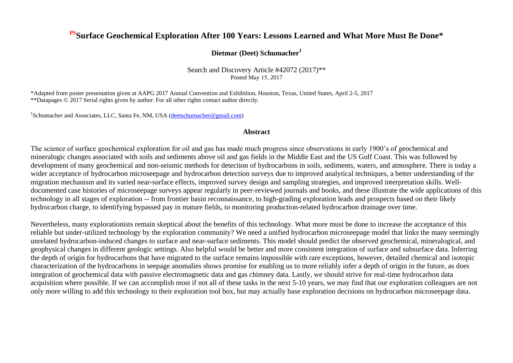#### **PSSurface Geochemical Exploration After 100 Years: Lessons Learned and What More Must Be Done\***

#### **Dietmar (Deet) Schumacher<sup>1</sup>**

Search and Discovery Article #42072 (2017)\*\* Posted May 15, 2017

\*Adapted from poster presentation given at AAPG 2017 Annual Convention and Exhibition, Houston, Texas, United States, April 2-5, 2017 \*\*Datapages © 2017 Serial rights given by author. For all other rights contact author directly.

<sup>1</sup>Schumacher and Associates, LLC, Santa Fe, NM, USA [\(deetschumacher@gmail.com\)](mailto:deetschumacher@gmail.com)

#### **Abstract**

The science of surface geochemical exploration for oil and gas has made much progress since observations in early 1900's of geochemical and mineralogic changes associated with soils and sediments above oil and gas fields in the Middle East and the US Gulf Coast. This was followed by development of many geochemical and non-seismic methods for detection of hydrocarbons in soils, sediments, waters, and atmosphere. There is today a wider acceptance of hydrocarbon microseepage and hydrocarbon detection surveys due to improved analytical techniques, a better understanding of the migration mechanism and its varied near-surface effects, improved survey design and sampling strategies, and improved interpretation skills. Welldocumented case histories of microseepage surveys appear regularly in peer-reviewed journals and books, and these illustrate the wide applications of this technology in all stages of exploration -- from frontier basin reconnaissance, to high-grading exploration leads and prospects based on their likely hydrocarbon charge, to identifying bypassed pay in mature fields, to monitoring production-related hydrocarbon drainage over time.

Nevertheless, many explorationists remain skeptical about the benefits of this technology. What more must be done to increase the acceptance of this reliable but under-utilized technology by the exploration community? We need a unified hydrocarbon microseepage model that links the many seemingly unrelated hydrocarbon-induced changes to surface and near-surface sediments. This model should predict the observed geochemical, mineralogical, and geophysical changes in different geologic settings. Also helpful would be better and more consistent integration of surface and subsurface data. Inferring the depth of origin for hydrocarbons that have migrated to the surface remains impossible with rare exceptions, however, detailed chemical and isotopic characterization of the hydrocarbons in seepage anomalies shows promise for enabling us to more reliably infer a depth of origin in the future, as does integration of geochemical data with passive electromagnetic data and gas chimney data. Lastly, we should strive for real-time hydrocarbon data acquisition where possible. If we can accomplish most if not all of these tasks in the next 5-10 years, we may find that our exploration colleagues are not only more willing to add this technology to their exploration tool box, but may actually base exploration decisions on hydrocarbon microseepage data.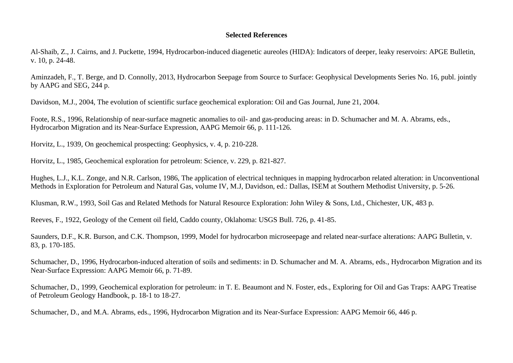#### **Selected References**

Al-Shaib, Z., J. Cairns, and J. Puckette, 1994, Hydrocarbon-induced diagenetic aureoles (HIDA): Indicators of deeper, leaky reservoirs: APGE Bulletin, v. 10, p. 24-48.

Aminzadeh, F., T. Berge, and D. Connolly, 2013, Hydrocarbon Seepage from Source to Surface: Geophysical Developments Series No. 16, publ. jointly by AAPG and SEG, 244 p.

Davidson, M.J., 2004, The evolution of scientific surface geochemical exploration: Oil and Gas Journal, June 21, 2004.

Foote, R.S., 1996, Relationship of near-surface magnetic anomalies to oil- and gas-producing areas: in D. Schumacher and M. A. Abrams, eds., Hydrocarbon Migration and its Near-Surface Expression, AAPG Memoir 66, p. 111-126.

Horvitz, L., 1939, On geochemical prospecting: Geophysics, v. 4, p. 210-228.

Horvitz, L., 1985, Geochemical exploration for petroleum: Science, v. 229, p. 821-827.

Hughes, L.J., K.L. Zonge, and N.R. Carlson, 1986, The application of electrical techniques in mapping hydrocarbon related alteration: in Unconventional Methods in Exploration for Petroleum and Natural Gas, volume IV, M.J, Davidson, ed.: Dallas, ISEM at Southern Methodist University, p. 5-26.

Klusman, R.W., 1993, Soil Gas and Related Methods for Natural Resource Exploration: John Wiley & Sons, Ltd., Chichester, UK, 483 p.

Reeves, F., 1922, Geology of the Cement oil field, Caddo county, Oklahoma: USGS Bull. 726, p. 41-85.

Saunders, D.F., K.R. Burson, and C.K. Thompson, 1999, Model for hydrocarbon microseepage and related near-surface alterations: AAPG Bulletin, v. 83, p. 170-185.

Schumacher, D., 1996, Hydrocarbon-induced alteration of soils and sediments: in D. Schumacher and M. A. Abrams, eds., Hydrocarbon Migration and its Near-Surface Expression: AAPG Memoir 66, p. 71-89.

Schumacher, D., 1999, Geochemical exploration for petroleum: in T. E. Beaumont and N. Foster, eds., Exploring for Oil and Gas Traps: AAPG Treatise of Petroleum Geology Handbook, p. 18-1 to 18-27.

Schumacher, D., and M.A. Abrams, eds., 1996, Hydrocarbon Migration and its Near-Surface Expression: AAPG Memoir 66, 446 p.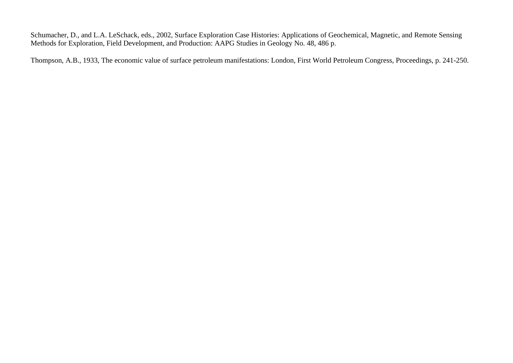Schumacher, D., and L.A. LeSchack, eds., 2002, Surface Exploration Case Histories: Applications of Geochemical, Magnetic, and Remote Sensing Methods for Exploration, Field Development, and Production: AAPG Studies in Geology No. 48, 486 p.

Thompson, A.B., 1933, The economic value of surface petroleum manifestations: London, First World Petroleum Congress, Proceedings, p. 241-250.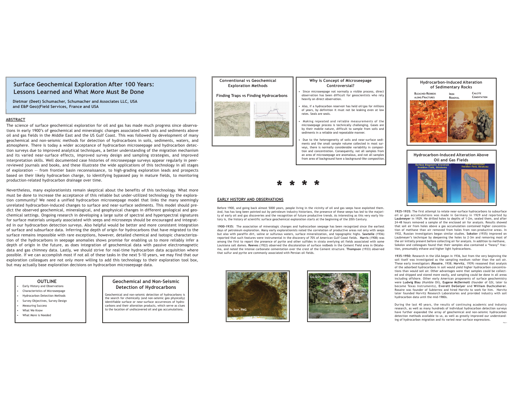#### **Hydrocarbon-Induced Alteration of Sedimentary Rocks**

**IRONREMOVAL**

**CALCITE CEMENTATION**



**BLEACHED REDBEDS ALONG FRACTURES**







## **EARLY HISTORY AND OBSERVATIONS**

#### **ABSTRACT**

The science of surface geochemical exploration for oil and gas has made much progress since observations in early 1900's of geochemical and mineralogic changes associated with soils and sediments above oil and gas fields in the Middle East and the US Gulf Coast. This was followed by development of many geochemical and non-seismic methods for detection of hydrocarbons in soils, sediments, waters, and atmosphere. There is today <sup>a</sup> wider acceptance of hydrocarbon microseepage and hydrocarbon detection surveys due to improved analytical techniques, <sup>a</sup> better understanding of the migration mechanism and its varied near-surface effects, improved survey design and sampling strategies, and improved interpretation skills. Well documented case histories of microseepage surveys appear regularly in peerreviewed journals and books, and these illustrate the wide applications of this technology in all stages of exploration -- from frontier basin reconnaissance, to high-grading exploration leads and prospects based on their likely hydrocarbon charge, to identifying bypassed pay in mature fields, to monitoring production-related hydrocarbon drainage over time.

Nevertheless, many explorationists remain skeptical about the benefits of this technology. What more must be done to increase the acceptance of this reliable but under-utilized technology by the exploration community? We need <sup>a</sup> unified hydrocarbon microseepage model that links the many seemingly unrelated hydrocarbon-induced changes to surface and near-surface sediments. This model should predict the observed geochemical, mineralogical, and geophysical changes in different geological and geochemical settings. Ongoing research in developing <sup>a</sup> large suite of spectral and hyperspectral signatures for surface materials uniquely associated with seeps and microseeps should be encouraged and integrated in our hydrocarbon detection surveys. Also helpful would be better and more consistent integration of surface and subsurface data. Inferring the depth of origin for hydrocarbons that have migrated to the surface remains impossible with rare exceptions, however, detailed chemical and isotopic characterization of the hydrocarbons in seepage anomalies shows promise for enabling us to more reliably infer <sup>a</sup> depth of origin in the future, as does integration of geochemical data with passive electromagnetic data and gas chimney data. Lastly, we should strive for real-time hydrocarbon data acquisition where possible. If we can accomplish most if not all of these tasks in the next 5-10 years, we may find that our exploration colleagues are not only more willing to add this technology to their exploration tool box, but may actually base exploration decisions on hydrocarbon microseepage data.

# **Surface Geochemical Exploration After 100 Years: Lessons Learned and What More Must Be Done**

Before 1900, and going back almost 5000 years, people living in the vicinity of oil and gas seeps have exploited them. And, has has long been pointed out by petroleum industry historians, the presence of these seeps has led to the majority of early oil and gas discoveries and the recognition of future productive trends. As interesting as this very early history is, the history of scientific surface geochemical exploration starts at the beginning of the 20th Century.

**1900-1935:** The association of mineralogic changes and hydrocarbon seepage has been recognized since the earliest days of petroleum exploration. Many early explorationists noted the correlation of productive areas not only with seeps but also with paraffin dirt, saline or sulfurous waters, surface mineralization, and topographic highs. **Sawtelle** (1936) reported that such features were instrumental in the discovery of 70% of American Gulf Coast fields. **Harris** (1908) was among the first to report the presence of pyrite and other sulfides in strata overlying oil fields associated with some Louisiana salt domes. **Reeves** (1922) observed the discoloration of surface redbeds in the Cement Field area in Oklahoma, and noted the intense carbonate cementation over the crest of the Cement structure. **Thompson** (1933) observed that sulfur and pyrite are commonly associated with Persian oil fields.

- •Early History and Observations
- •Characteristics of Microseepage
- •Hydrocarbon Detection Methods
- •Survey Objectives, Survey Design
- •Measuring Success
- •What We Know
- What More is Needed

#### **OUTLINE**

## **Geochemical and Non-Seismic Detection of Hydrocarbons**

Geochemical and non-seismic detection of hydrocarbons is the search for chemically (and non-seismic geo physically) identifiable surface or near-surface occurrences of hydrocarbons and their alteration products, which serve as clues to the location of undiscovered oil and gas accumulations.

#### **Conventional vs GeochemicalExploration Methods**

### **Finding Traps vs Finding Hydrocarbons**



#### **Why is Concept of Microseepage Controversial?**

- Since microseepage not normally <sup>a</sup> visible process, direct observation has been difficult for geoscientists who rely heavily on direct observation.
- Also, if <sup>a</sup> hydrocarbon reservoir has held oil/gas for millions of years, by definition it must not be leaking even at low rates. Seals are seals.
- • Making repeated and reliable measurements of the microseepage process is technically challenging. Gases are by their mobile nature, difficult to sample from soils and sediments in <sup>a</sup> reliable and repeatable manner.
- Due to the heterogeneity of soils and near-surface sediments and the small sample volume collected in most surveys, there is normally considerable variability in composition and concentration. Consequently, not all samples from an area of microseepage are anomalous, and not all samples from area of background have <sup>a</sup> background-like composition.

**1925-1935:** The first attempt to relate near-surface hydrocarbons to subsurface oil or gas accumulations was made in Germany in 1929 and reported by **Laubmeyer** in 1929. He drilled holes to depths of 1-2m, sealed them, and after 24-48 hours removed <sup>a</sup> sample of the enclosed air for analysis. Results showed that soil air from holes above <sup>a</sup> gas accumulation contained higher concentration of methane than air removed from holes from non-productive areas. In 1932, Russian investigators began similar studies. **Sokolov** (1935) improved on Laubmeyer's technique by deepening the holes to 2-3m and removing most of the air initially present before collecting air for analysis. In addition to methane, Sokolov and colleagues found that their samples also contained <sup>a</sup> "heavy" fraction, presumably ethane and higher light hydrocarbons.

**1935-1950:** Research in the USA began in 1936, but from the very beginning the soil itself was investigated as the sampling medium rather than the soil air. These early investigators (**Rosaire**, 1938; **Horvitz**, 1939) reasoned that analysis of the adsorbed hydrocarbons in soil would yield higher hydrocarbon concentrations than would soil air. Other advantages were that samples could be collected and shipped and stored more easily, and sampling could be done in all areas including offshore. Other early American proponents of surface geochemistry were **Ludwig Blau** (Humble Oil), **Eugene McDermott** (founder of GSI, later to become Texas Instruments), **Everett DeGolyer** and **William Duchcsherer**. Rosaire was founder of Subterrex and hired Horvitz to work for him. Horvitz later founded Horvitz Research Laboratories and provided industry with soil hydrocarbon data until the mid-1980s.

During the last 40 years, the results of continuing academic and industry research, as well as many hundreds of individual hydrocarbon detection surveys have further expanded the array of geochemical and non-seismic hydrocarbon detection methods available to us, as well as greatly improved our understanding of hydrocarbon migration and its varied near-surface expressions.



**Dietmar (Deet) Schumacher, Schumacher and Associates LLC, USA and E&P Geo)(Field Services, France and USA**

> **\*\* \* \***

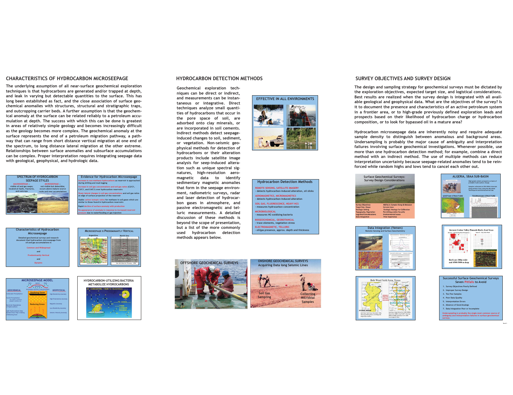





#### **HYDROCARBON DETECTION METHODS**

**Geochemical exploration techniques can be direct or indirect, and measurements can be instantaneous or integrative. Direct techniques analyze small quantities of hydrocarbons that occur in the pore space of soil, are adsorbed onto clay minerals, or are incorporated in soil cements. Indirect methods detect seepageinduced changes to soil, sediment, or vegetation. Non-seismic geophysical methods for detection of hydrocarbons or their alteration products include satellite image analysis for seep-induced alteration such as unique spectral signatures, high-resolution aeromagnetic data to identify sedimentary magnetic anomalies that form in the seepage environment, radiometric surveys, radar and laser detection of hydrocarbon gases in atmosphere, and passive electromagnetic and telluric measurements. A detaileddiscussion of these methods isbeyond the scope of presentation, but <sup>a</sup> list of the more commonly used hydrocarbon detection methods appears below.**



#### **Hydrocarbon Detection Methods**

**REMOTE SENSING, SATELLITE IMAGERY - detects hydrocarbon-induced alteration, oil slicks**

**AEROMAGNETICS, MICROMAGNETICS - detects hydrocarbon-induced alteration**

**SOIL GAS, FLUORESCENCE, HEAVY HCS - measures hydrocarbon concentration**

**MICROBIOLOGICAL- measures HC-oxidizing bacteria**

**BIOGEOCHEMICAL, GEOBOTANICAL - trace elements, vegetation stress ELECTROMAGNETIC, TELLURIC**

**- oil/gas presence, approx. depth and thickness**







**Evidence for Hydrocarbon Microseepage** *Ane hydrocarbons as reservoir is approached***</u> during drilling and mud-logging Increase in soil gas concentrations and soil gas ratios (C2/C1, C3/C1, and C4/C1) over hydrocarbon reservoirs Sharp lateral changes in soil gas concentrations and soil gas ratios at edge of surface projection of the reservoir Stable carbon isotopic ratios for methane in soil gases which are similar to those found in hydrocarbon reservoirs Rapid decline of surface anomaly with production**

**Re-appearance of anomaly in response to increased reservoir pressure due to waterflooding or gas injection**

The design and sampling strategy for geochemical surveys must be dictated by **the exploration objectives, expected target size, and logistical considerations.** Best results are realized when the survey design is integrated with all available geological and geophysical data. What are the objectives of the survey? Is it to document the presence and characteristics of an active petroleum system in a frontier area, or to high-grade previously defined exploration leads and **prospects based on their likelihood of hydrocarbon charge or hydrocarbon composition, or to look for bypassed oil in <sup>a</sup> mature area?**

**Hydrocarbon microseepage data are inherently noisy and require adequate sample density to distinguish between anomalous and background areas. Undersampling is probably the major cause of ambiguity and interpretation failures involving surface geochemical investigations. Whenever possible, use more than one hydrocarbon detection method; for example, combine <sup>a</sup> direct** method with an indirect method. The use of multiple methods can reduce **interpretation uncertainty because seepage-related anomalies tend to be rein**forced while random highs and lows tend to cancel each other out.



## **CHARACTERISTICS OF HYDROCARBON MICROSEEPAGE**

**The underlying assumption of all near-surface geochemical exploration techniques is that hydrocarbons are generated and/or trapped at depth,** and leak in varying but detectable quantities to the surface. This has long been established as fact, and the close association of surface geo**chemical anomalies with structures, structural and stratigraphic traps, and outcropping carrier beds. A further assumption is that the geochem**ical anomaly at the surface can be related reliably to a petroleum accumulation at depth. The success with which this can be done is greatest **in areas of relatively simple geology and becomes increasingly difficult as the geology becomes more complex. The geochemical anomaly at the surface represents the end of <sup>a</sup> petroleum migration pathway, <sup>a</sup> path**way that can range from short distance vertical migration at one end of **the spectrum, to long distance lateral migration at the other extreme. Relationships between surface anomalies and subsurface accumulations can be complex. Proper interpretation requires integrating seepage data with geological, geophysical, and hydrologic data.**





## **SURVEY OBJECTIVES AND SURVEY DESIGN**